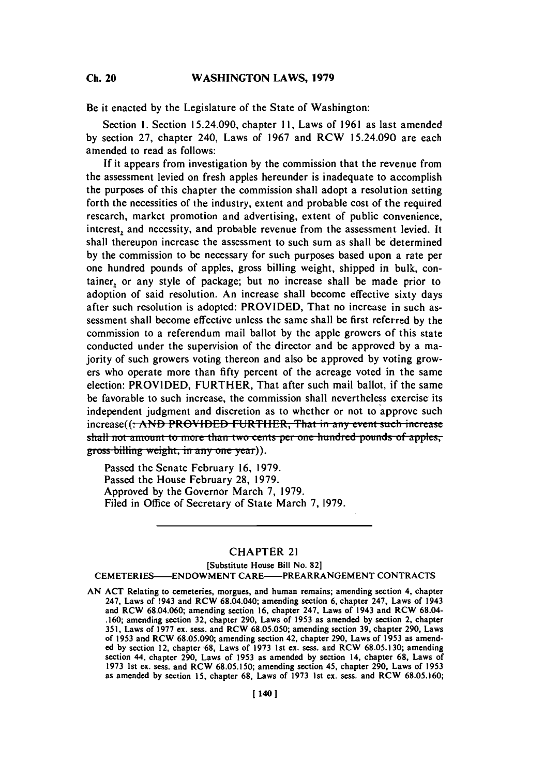**Ch.** 20

Be it enacted **by** the Legislature of the State of Washington:

Section **1.** Section 15.24.090, chapter **11,** Laws of **1961** as last amended **by** section **27,** chapter 240, Laws of **1967** and RCW 15.24.090 are each amended to read as follows:

**If** it appears from investigation **by** the commission that the revenue from the assessment levied on fresh apples hereunder is inadequate to accomplish the purposes of this chapter the commission shall adopt a resolution setting forth the necessities of the industry, extent and probable cost of the required research, market promotion and advertising, extent of public convenience, interest, and necessity, and probable revenue from the assessment levied. It shall thereupon increase the assessment to such sum as shall be determined **by** the commission to be necessary for such purposes based upon a rate per one hundred pounds of apples, gross billing weight, shipped in bulk, container, or any style of package; but no increase shall be made prior to adoption of said resolution. An increase shall become effective sixty days after such resolution is adopted: PROVIDED, That no increase in such assessment shall become effective unless the same shall be first referred **by** the commission to a referendum mail ballot **by** the apple growers of this state conducted under the supervision of the director and be approved **by** a majority of such growers voting thereon and also be approved **by** voting growers who operate more than **fifty** percent of the acreage voted in the same election: PROVIDED, FURTHER, That after such mail ballot, if the same be favorable to such increase, the commission shall nevertheless exercise its independent judgment and discretion as to whether or not to approve such increase((: AND PROVIDED FURTHER, That in any event such increase shall not amount to more than two cents per one hundred pounds of apples, gross billing weight, in any one year)).

Passed the Senate February **16, 1979.** Passed the House February **28, 1979.** Approved **by** the Governor March **7, 1979.** Filed in Office of Secretary of State March **7, 1979.**

# CHAPTER 21

## [Substitute House Bill No. **82] CEMETERIES-ENDOWMENT** CARE-PREARRANGEMENT **CONTRACTS**

**AN ACT** Relating to cemeteries, morgues, and human remains; amending section 4, chapter 247, Laws of 1943 and RCW 68.04.040; amending section **6,** chapter 247, Laws of 1943 and RCW **68.04.060;** amending section **16,** chapter 247, Laws of 1943 and RCW 68.04- **.160;** amending section **32,** chapter **290,** Laws of **1953** as amended **by** section 2, chapter **351,** Laws of **1977** ex. sess. and RCW **68.05.050;** amending section **39,** chapter **290,** Laws of **1953** and RCW **68.05.090;** amending section 42, chapter **290,** Laws of **1953** as amended **by** section 12, chapter-68, Laws of **1973** 1st ex. sess. and RCW **68.05.130;** amending section 44, chapter **290,** Laws of **1953** as amended **by** section 14, chapter **68,** Laws of **1973** 1st ex. sess. and RCW **68.05.150;** amending section 45, chapter **290,** Laws of **1953** as amended **by** section **15,** chapter **68,** Laws of **1973** 1st ex. sess. and RCW **68.05.160;**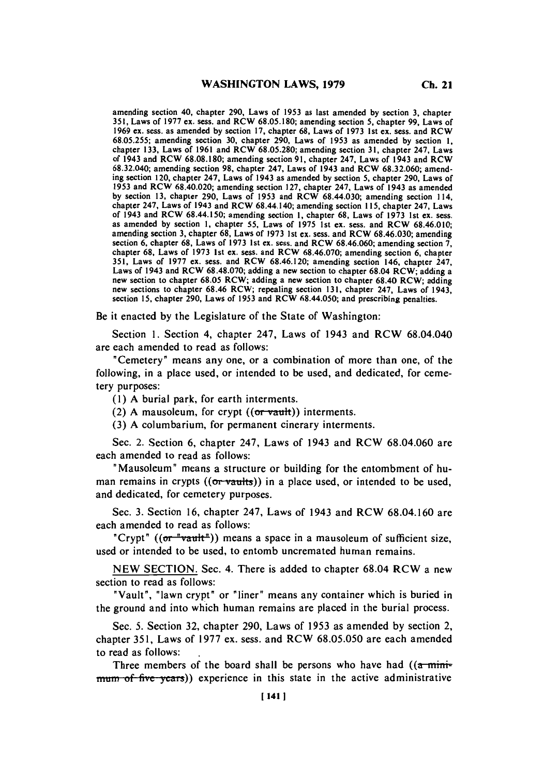amending section 40, chapter **290,** Laws of **1953** as last amended **by** section **3,** chapter **351,** Laws of **1977** ex. sess. and RCW **68.05.180;** amending section **5,** chapter **99,** Laws of **1969** ex. sess. as amended **by** section **17,** chapter **68,** Laws of **1973** 1st ex. sess. and RCW **68.05.255;** amending section **30,** chapter **290,** Laws of **1953** as amended **by** section **1,** chapter **133,** Laws of **1961** and RCW **68.05.280;** amending section **31,** chapter 247, Laws of 1943 and **RCW 68.08.180;** amending section **91,** chapter 247, Laws of 1943 and RCW **68.32.040;** amending section **98,** chapter 247, Laws of 1943 and RCW **68.32.060;** amending setion 120, chapter 247, Laws of 1943 as amended **by** section **5,** chapter **290,** Laws of **1953** and RCW 68.40.020; amending section **127,** chapter 247, Laws of 1943 as amended **by** section **13,** chapter **290,** Laws of **1953** and RCW 68.44.030; amending section 114, chapter 247, Laws of 1943 and RCW 68.44.140; amending section **115,** chapter 247, Laws of 1943 and RCW 68.44.150; amending section **1,** chapter **68,** Laws of **1973** 1st ex. sess. as amended **by** section **1,** chapter **55,** Laws of **1975** 1st ex. sess. and RCW **68.46.010;** amending section **3,** chapter **68,** Laws of **1973** 1st ex. sess. and RCW **68.46.030;** amending section **6,** chapter **68,** Laws of **1973** 1st ex. sess. and RCW **68.46.060;** amending section **7,** chapter **68,** Laws of **1973** 1st ex. sess. and RCW **68.46.070;** amending section **6,** chapter **351,** Laws of **1977** ex. sess. and RCW **68.46.120;** amending section 146, chapter 247, Laws of 1943 and RCW **68.48.070;** adding a new section to chapter 68.04 RCW; adding a new section to chapter **68.05** RCW; adding a new section to chapter 68.40 RCW; adding new sections to chapter **68.46** RCW; repealing section **131,** chapter 247, Laws of 1943, section **15,** chapter **290,** Laws of **1953** and RCW 68.44.050; and prescribing penalties.

Be it enacted **by** the Legislature of the State of Washington:

Section **1.** Section 4, chapter 247, Laws of 1943 and RCW 68.04.040 are each amended to read as follows:

"Cemetery" means any one, or a combination of more than one, of the following, in a place used, or intended to be used, and dedicated, for cemetery purposes:

**(1) A** burial par **k,** for earth interments.

(2) A mausoleum, for crypt  $((or *vault*))$  interments.

**(3) A** columbarium, for permanent cinerary interments.

Sec. 2. Section **6,** chapter 247, Laws of 1943 and RCW **68.04.060** are each amended to read as follows:

"Mausoleum" means a structure or building for the entombment of human remains in crypts  $((or$  vaults)) in a place used, or intended to be used, and dedicated, for cemetery purposes.

Sec. **3.** Section **16,** chapter 247, Laws of 1943 and RCW **68.04.160** are each amended to read as follows:

"Crypt" (( $\sigma$ r "vault")) means a space in a mausoleum of sufficient size, used or intended to be used, to entomb uncremated human remains.

**NEW SECTION.** Sec. 4. There is added to chapter 68.04 RCW a new section to read as follows:

"Vault", "lawn crypt" or "liner" means any container which is buried in the ground and into which human remains are placed in the burial process.

Sec. **5.** Section **32,** chapter **290,** Laws of **1953** as amended **by** section 2, chapter **351,** Laws of **1977** ex. sess. and RCW **68.05.050** are each amended to read as follows:

Three members of the board shall be persons who have had  $((\alpha - \text{min} - \alpha)$ mum of five years)) experience in this state in the active administrative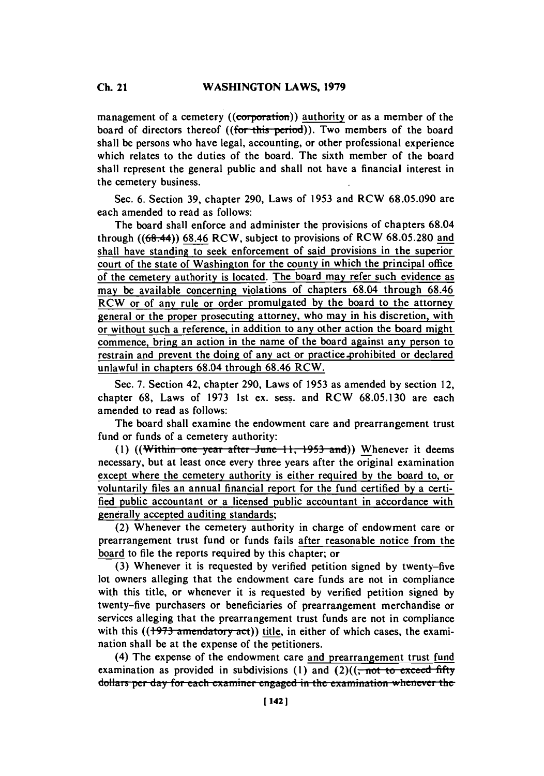management of a cemetery ((corporation)) authority or as a member of the board of directors thereof ((for this period)). Two members of the board shall be persons who have legal, accounting, or other professional experience which relates to the duties of the board. The sixth member of the board shall represent the general public and shall not have a financial interest in the cemetery business.

Sec. **6.** Section **39,** chapter **290,** Laws of **1953** and RCW **68.05.090** are each amended to read as follows:

The board shall enforce and administer the provisions of chapters 68.04 through ((68.44)) **68.46** RCW, subject to provisions of RCW **68.05.280** and shall have standing to seek enforcement of said provisions in the superior court of the state of Washington for the county in which the principal office of the cemetery authority is located. The board may refer such evidence as may be available concerning violations of chapters 68.04 through **68.46** RCW or of any rule or order promulgated **by** the board to the attorney general or the proper prosecuting attorney, who may in his discretion, with or without such a reference, in addition to any other action the board might commence, bring an action in the name of the board against any person to restrain and prevent the doing of any act or practice prohibited or declared unlawful in chapters 68.04 through **68.46** RCW.

Sec. **7.** Section 42, chapter **290,** Laws of **1953** as amended **by** section 12, chapter **68,** Laws of **1973** 1st ex. sess. and RCW **68.05.130** are each amended to read as follows:

The board shall examine the endowment care and prearrangement trust fund or funds of a cemetery authority:

(1) ((Within one year after June 11, 1953 and)) Whenever it deems necessary, but at least once every three years after the original examination except where the cemetery authority is either required **by** the board to, or voluntarily files an annual financial report for the fund certified **by** a certified public accountant or a licensed public accountant in accordance with generally accepted auditing standards;

(2) Whenever the cemetery authority in charge of endowment care or prearrangement trust fund or funds fails after reasonable notice from the board to file the reports required **by** this chapter; or

**(3)** Whenever it is requested **by** verified petition signed **by** twenty-five lot owners alleging that the endowment care funds are not in compliance with this title, or whenever it is requested **by** verified petition signed **by** twenty-five purchasers or beneficiaries of prearrangement merchandise or services alleging that the prearrangement trust funds are not in compliance with this  $((1973$  amendatory act)) title, in either of which cases, the examination shall be at the expense of the petitioners.

(4) The expense of the endowment care and prearrangement trust fund examination as provided in subdivisions  $(1)$  and  $(2)((\frac{1}{2})$  and  $\frac{1}{2})$ dollars per day for each examiner engaged in the examination whenever the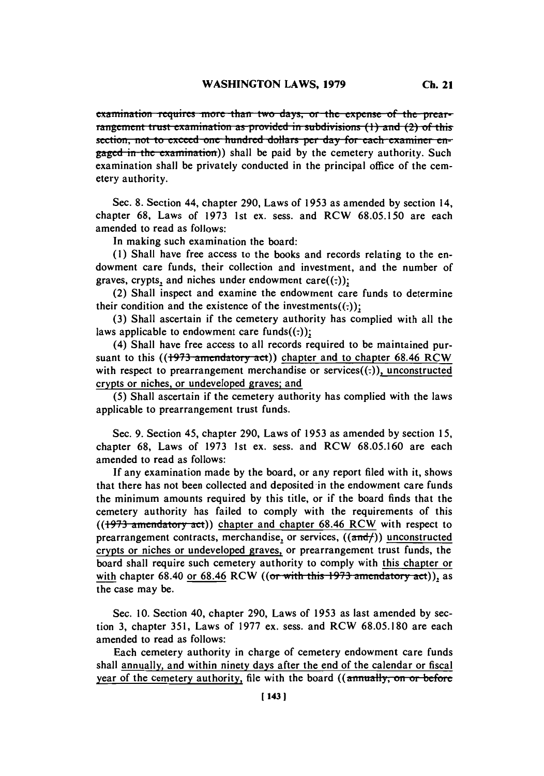*Examination requires more than two days, or the expense of the prear***rangement trust examination as provided in subdivisions (1) and (2) of this**section, not to exceed one hundred dollars per day for each examiner en**gaged in the examination)) shall be paid by the cemetery authority. Such** examination shall be privately conducted in the principal office of the cemetery authority.

Sec. **8.** Section 44, chapter **290,** Laws of *1953* as amended **by** section 14, chapter **68,** Laws of **1973** 1st ex. sess. and RCW *68.05.150* are each amended to read as follows:

In making such examination the board:

**(1)** Shall have free access to the books and records relating to the endowment care funds, their collection and investment, and the number of graves, crypts, and niches under endowment care $((:))$ ;

(2) Shall inspect and examine the endowment care funds to determine their condition and the existence of the investments $((.)$ ;

**(3)** Shall ascertain if the cemetery authority has complied with all the laws applicable to endowment care funds $((:))$ ;

(4) Shall have free access to all records required to be maintained pursuant to this ((1973 amendatory act)) chapter and to chapter 68.46 RCW with respect to prearrangement merchandise or services $((:)$ , unconstructed crypts or niches, or undeveloped graves; and

*(5)* Shall ascertain if the cemetery authority has complied with the laws applicable to prearrangement trust funds.

Sec. **9.** Section *45,* chapter **290,** Laws of **1953** as amended **by** section *15,* chapter **68,** Laws of **1973** 1st ex. sess. and RCW **68.05.160** are each amended to read as follows:

**If** any examination made **by** the board, or any report filed with it, shows that there has not been collected and deposited in the endowment care funds the minimum amounts required **by** this title, or if the board finds that the cemetery authority has failed to comply with the requirements of this ((1973 amendatory act)) chapter and chapter 68.46 RCW with respect to prearrangement contracts, merchandise, or services,  $((\text{and}/))$  unconstructed crypts or niches or undeveloped graves, or prearrangement trust funds, the board shall require such cemetery authority to comply with this chapter or with chapter  $68.40$  or  $68.46$  RCW ((or with this  $1973$  amendatory act)), as the case may be.

Sec. **10.** Section 40, chapter **290,** Laws of **1953** as last amended **by** section **3,** chapter **351,** Laws of **1977** ex. sess. and RCW **68.05.180** are each amended to read as follows:

Each cemetery authority in charge of cemetery endowment care funds shall annually, and within ninety days after the end of the calendar or fiscal year of the cemetery authority, file with the board *((annually, on or before*)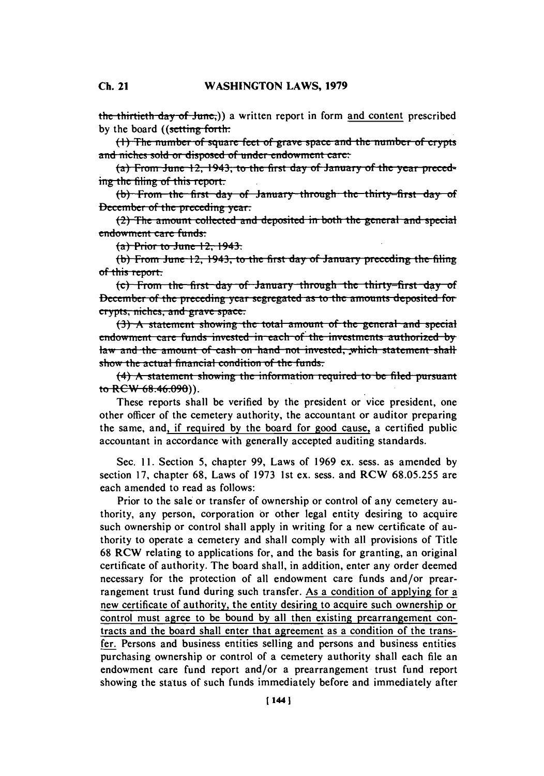the thirtieth day of June.)) a written report in form and content prescribed by the board ((setting forth:

 $(1)$  The number of square feet of grave space and the number of crypts and niches sold or disposed of under endowment care:

 $(a)$  From June 12, 1943, to the first day of January of the year preced**jume** the filing of this report.

(b) From the first day of January through the thirty-first day of December of the preceding year.

(2) The amount collected and deposited in both the general and special endowment care funds:

**(a) Prior to June 12, 1943.** 

(b) From June 12, 1943, to the first day of January preceding the filing of this report.

(c) From the first day of January through the thirty-first day of December of the preceding year segregated as to the amounts deposited for crypts, niches, and grave space.

**(3)** A statement showing the total amount of the general and special endowment care funds invested in each of the investments authorized by law and the amount of cash on hand not invested, which statement shall show the actual financial condition of the funds.

(4) A statement showing the information required to be filed pursuant **to** RCW 68.46.090)).

These reports shall be verified **by** the president or vice president, one other officer of the cemetery authority, the accountant or auditor preparing the same, and, if required **by** the board for good cause, a certified public accountant in accordance with generally accepted auditing standards.

Sec. **11.** Section *5,* chapter **99,** Laws of **1969** ex. sess. as amended **by** section **17,** chapter **68,** Laws of **1973** 1st ex. sess. and RCW **68.05.255** are each amended to read as follows:

Prior to the sale or transfer of ownership or control of any cemetery authority, any person, corporation or other legal entity desiring to acquire such ownership or control shall apply in writing for a new certificate of authority to operate a cemetery and shall comply with all provisions of Title **68** RCW relating to applications for, and the basis for granting, an original certificate of authority. The board shall, in addition, enter any order deemed necessary for the protection of all endowment care funds and/or prearrangement trust fund during such transfer. As a condition of applying for a new certificate of authority, the entity desiring to acquire such ownership or control must agree to be bound **by** all then existing prearrangement contracts and the board shall enter that agreement as a condition of the transfer. Persons and business entities selling and persons and business entities purchasing ownership or control of a cemetery authority shall each file an endowment care fund report and/or a prearrangement trust fund report showing the status of such funds immediately before and immediately after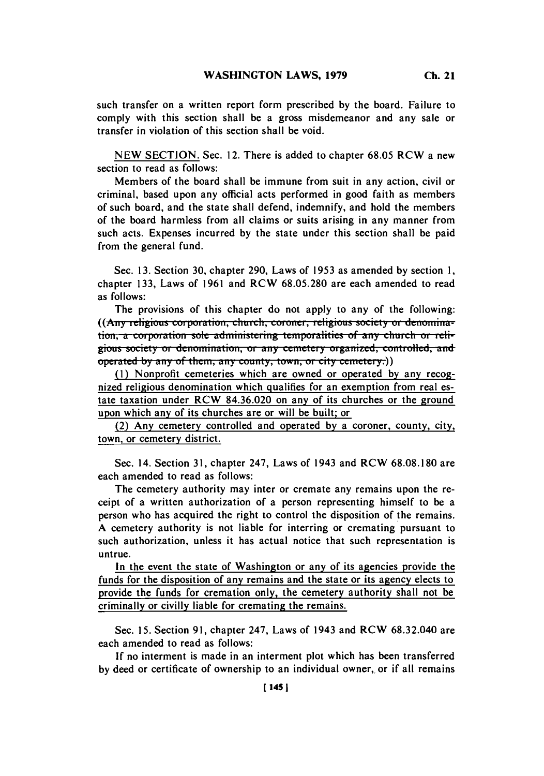such transfer on a written report form prescribed **by** the board. Failure to comply with this section shall be a gross misdemeanor and any sale or transfer in violation of this section shall be void.

**NEW SECTION.** Sec. 12. There is added to chapter **68.05** RCW a new section to read as follows:

Members of the board shall be immune from suit in any action, civil or criminal, based upon any official acts performed in good faith as members of such board, and the state shall defend, indemnify, and hold the members of the board harmless from all claims or suits arising in any manner from such acts. Expenses incurred **by** the state under this section shall be paid from the general fund.

Sec. **13.** Section **30,** chapter **290,** Laws of **1953** as amended **by** section **1,** chapter **133,** Laws of **1961** and RCW **68.05.280** are each amended to read as follows:

The provisions of this chapter do not apply to any of the following: **((Any religious corporation, church, coroner, religious society or denomination, a corporation sole administering temporalities of any church or religious society or denomination, or any cemetery organized, controlled, and** operated by any of them, any county, town, or city cemetery.)

**(1)** Nonprofit cemeteries which are owned or operated **by** any recognized religious denomination which qualifies for an exemption from real estate taxation under RCW **84.36.020** on any of its churches or the ground upon which any of its churches are or will be built; or

(2) Any cemetery controlled and operated **by** a coroner, county, city, town, or cemetery district.

Sec. 14. Section **3 1,** chapter 247, Laws of 1943 and RCW **68.08.180** are each amended to read as follows:

The cemetery authority may inter or cremate any remains upon the receipt of a written authorization of a person representing himself to be a person who has acquired the right to control the disposition of the remains. **A** cemetery authority is not liable for interring or cremating pursuant to such authorization, unless it has actual notice that such representation is untrue.

In the event the state of Washington or any of its agencies provide the funds for the disposition of any remains and the state or its agency elects to provide the funds for cremation only, the cemetery authority shall not be criminally or civilly liable for cremating the remains.

Sec. **15.** Section **91,** chapter 247, Laws of 1943 and RCW **68.32.040** are each amended to read as follows:

**If** no interment is made in an interment plot which has been transferred **by** deed or certificate of ownership to an individual owner,. or if all remains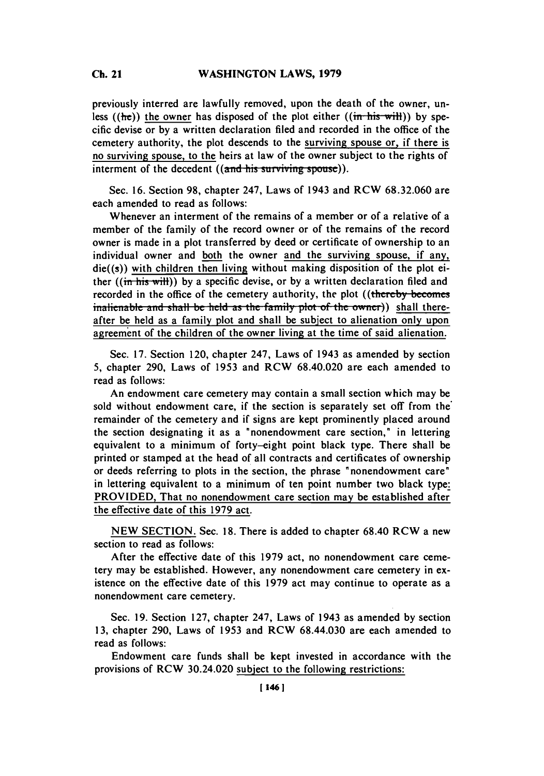#### C. **21WASHINGTON LAWS, 1979 Ch.** 21

previously interred are lawfully removed, upon the death of the owner, unless ((he)) the owner has disposed of the plot either ((in-his-will)) **by** specific devise or **by** a written declaration filed and recorded in the office of the cemetery authority, the plot descends to the surviving spouse or, if there is no surviving spouse, to the heirs at law of the owner subject to the rights of interment of the decedent ((and his surviving spouse)).

Sec. **16.** Section **98,** chapter 247, Laws of 1943 and RCW **68.32.060** are each amended to read as follows:

Whenever an interment of the remains of a member or of a relative of a member of the family of the record owner or of the remains of the record owner is made in a plot transferred **by** deed or certificate of ownership to an individual owner and both the owner and the surviving spouse, if any,  $die((s))$  with children then living without making disposition of the plot either ((in-his-will)) **by** a specific devise, or **by** a written declaration filed and recorded in the office of the cemetery authority, the plot ((thereby-becomes inalienable and shall be held as the family plot of the owner)) shall thereafter be held as a family plot and shall be subject to alienation only upon agreement of the children of the owner living at the time of said alienation.

Sec. **17.** Section 120, chapter 247, Laws of 1943 as amended **by** section **5,** chapter **290,** Laws of **1953** and RCW 68.40.020 are each amended to read as follows:

An endowment care cemetery may contain a small section which may be sold without endowment care, if the section is separately set off from the' remainder of the cemetery and if signs are kept prominently placed around the section designating it as a "nonendowment care section," in lettering equivalent to a minimum of forty-eight point black type. There shall be printed or stamped at the head of all contracts and certificates of ownership or deeds referring to plots in the section, the phrase "nonendowment care" in lettering equivalent to a minimum of ten point number two black type. PROVIDED, That no nonendowment care section may be established after the effective date of this **1979** act.

**NEW SECTION.** Sec. **18.** There is added to chapter 68.40 RCW a new section to read as follows:

After the effective date of this **1979** act, no nonendowment care cemetery may be established. However, any nonendowment care cemetery in existence on the effective date of this **1979** act may continue to operate as a nonendowment care cemetery.

Sec. **19.** Section **127,** chapter 247, Laws of 1943 as amended **by** section **13,** chapter **290,** Laws of **1953** and RCW 68.44.030 are each amended to read as follows:

Endowment care funds shall be kept invested in accordance with the provisions of RCW 30.24.020 subject to the following restrictions: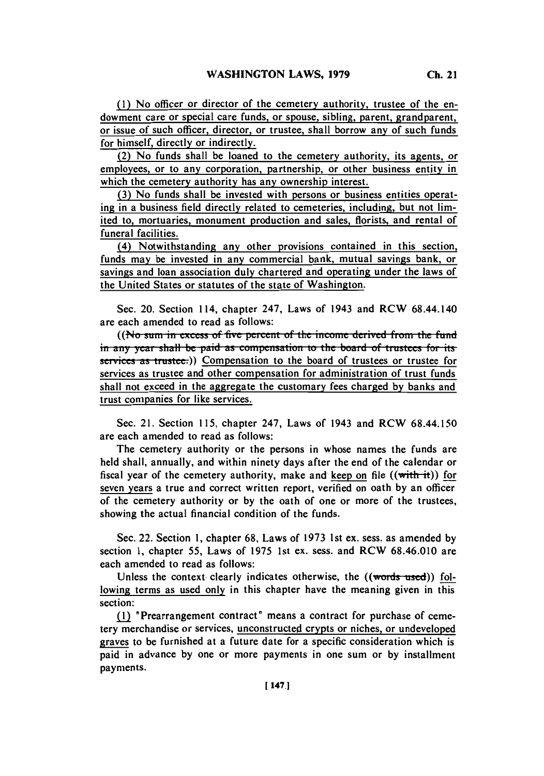(2) No funds shall be loaned to the cemetery authority, its agents, or employees, or to any corporation, partnership, or other business entity in which the cemetery authority has any ownership interest.

for himself, directly or indirectly.

**(3)** No funds shall be invested with persons or business entities operating in a business field directly related to cemeteries, including, but not limited to, mortuaries, monument production and sales, florists, and rental of funeral facilities.

(4) Notwithstanding any other provisions contained in this section, funds may be invested in any commercial bank, mutual savings bank, or savings and loan association duly chartered and operating under the laws of the United States or statutes of the state of Washington.

Sec. 20. Section 114, chapter 247, Laws of 1943 and RCW 68.44.140 are each amended to read as follows:

((No sum in excess of five percent of the income derived from the fund in any year shall be paid as compensation to the board of trustees for its services as trustee.)) Compensation to the board of trustees or trustee for services as trustee and other compensation for administration of trust funds shall not exceed in the aggregate the customary fees charged **by** banks and trust companies for like services.

Sec. 21. Section **115,** chapter 247, Laws of 1943 and RCW 68.44.150 are each amended to read as follows:

The cemetery authority or the persons in whose names the funds are held shall, annually, and within ninety days after the end of the calendar or fiscal year of the cemetery authority, make and keep on file  $((with it))$  for seven years a true and correct written report, verified on oath by an officer of the cemetery authority or **by** the oath of one or more of the trustees, showing the actual financial condition of the funds.

Sec. 22. Section **1,** chapter **68,** Laws of **1973** 1 st ex. sess. as amended **by** section **1,** chapter **55,** Laws of **1975** 1st ex. sess. and RCW **68.46.010** are each amended to read as follows:

Unless the context clearly indicates otherwise, the ((words-used)) following terms as used only in this chapter have the meaning given in this section:

**flU** "Prearrangement contract" means a contract for purchase of cemetery merchandise or services, unconstructed crypts or niches, or undeveloped graves to be furnished at a future date for a specific consideration which is paid in advance **by** one or more payments in one sum or **by** installment payments.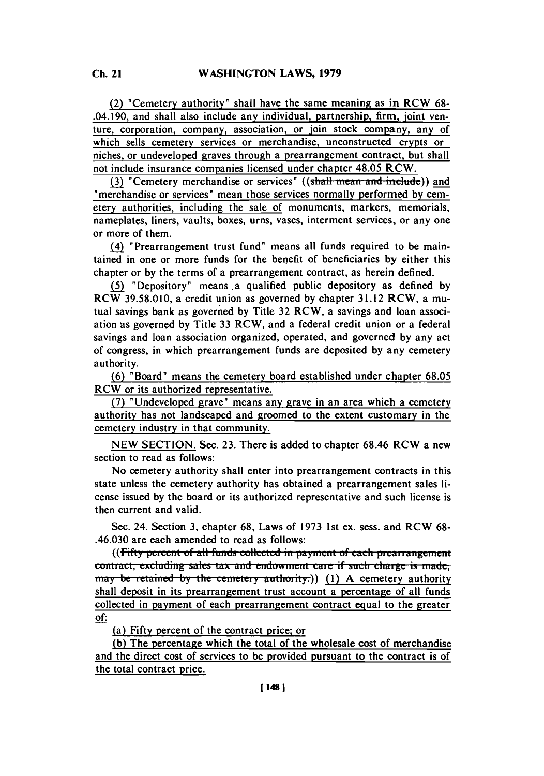(2) "Cemetery authority" shall have the same meaning as in **RCW 68-** .04.190, and shall also include any individual, partnership, firm, joint venture, corporation, company, association, or join stock company, any of which sells cemetery services or merchandise, unconstructed crypts or niches, or undeveloped graves through a prearrangement contract, but shall not include insurance companies licensed under chapter 48.05 **RCW.**

(3) "Cemetery merchandise or services" ((shall mean and include)) and merchandise or services' mean those services normally performed **by** cemetery authorities, including the sale of monuments, markers, memorials, nameplates, liners, vaults, boxes, urns, vases, interment services, or any one or more of them.

(4) 'Prearrangement trust fund' means all funds required to be maintained in one or more funds for the benefit of beneficiaries **by** either this chapter or **by** the terms of a prearrangement contract, as herein defined.

**(5** 'Depository' means a qualified public depository as defined **by** RCW **39.58.010,** a credit union as governed **by** chapter **31.12** RCW, a mutual savings bank as governed **by** Title **32** RCW, a savings and loan association -as governed **by** Title **33** RCW, and a federal credit union or a federal savings and loan association organized, operated, and governed **by** any act of congress, in which prearrangement funds are deposited **by** any cemetery authority.

**(6)** 'Board" means the cemetery board established under chapter **68.05** RCW or its authorized representative.

**(7)** "Undeveloped grave' means any grave in an area which a cemetery authority has not landscaped and groomed to the extent customary in the cemetery industry in that community.

**NEW SECTION.** Sec. **23.** There is added to chapter **68.46 RCW** a new section to read as follows:

No cemetery authority shall enter into prearrangement contracts in this state unless the cemetery authority has obtained a prearrangement sales license issued **by** the board or its authorized representative and such license is then current and valid.

Sec. 24. Section **3,** chapter **68,** Laws of **1973** 1 st ex. sess. and **RCW 68-** .46.030 are each amended to read as follows:

((Fifty percent of all funds collected in payment of each prearrangement contract, excluding sales tax and endowment care if such charge is made, may be retained by the cemetery authority.)) (1) A cemetery authority shall deposit in its prearrangement trust account a percentage of all funds collected in payment of each prearrangement contract equal to the greater *of:*

(a) Fifty percent of the contract price; or

**(b)** The percentage which the total of the wholesale cost of merchandise and the direct cost of services to be provided pursuant to the contract is of the total contract price.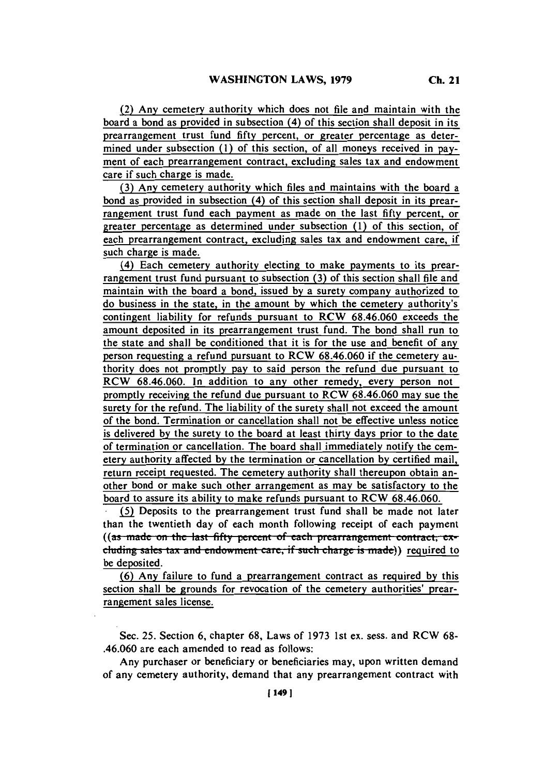(2) Any cemetery authority which does not **file** and maintain with the board a bond as provided in subsection (4) of this section shall deposit in its prearrangement trust fund **fifty** percent, or greater percentage as determined under subsection **(I)** of this section, of all moneys received in payment of each prearrangement contract, excluding sales tax and endowment care if such charge is made.

**(3)** Any cemetery authority which files and maintains with the board a bond as provided in subsection (4) of this section shall deposit in its prearrangement trust fund each payment as made on the last **fifty** percent, or greater percentage as determined under subsection **(1)** of this section, of each prearrangement contract, excluding sales tax and endowment care, if such charge is made.

(4) Each cemetery authority electing to make payments to its prearrangement trust fund pursuant to subsection **(3)** of this section shall file and maintain with the board a bond, issued **by** a surety company authorized to do business in the state, in the amount **by** which the cemetery authority's contingent liability for refunds pursuant to RCW **68.46.060** exceeds the amount deposited in its prearrangement trust fund. The bond shall run to the state and shall be conditioned that it is for the use and benefit of any person requesting a refund pursuant to RCW **68.46.060** if the cemetery authority does not promptly pay to said person the refund due pursuant to RCW **68.46.060.** In addition to any other remedy, every person not promptly receiving the refund due pursuant to RCW **68.46.060** may sue the surety for the refund. The liability of the surety shall not exceed the amount of the bond. Termination or cancellation shall not be effective unless notice is delivered **by** the surety to the board at least thirty days prior to the date of termination or cancellation. The board shall immediately notify the cemetery authority affected **by** the termination or cancellation **by** certified mail, return receipt requested. The cemetery authority shall thereupon obtain another bond or make such other arrangement as may be satisfactory to the board to assure its ability to make refunds pursuant to RCW 68.46.060.<br>**(5)** Deposits to the prearrangement trust fund shall be made not later

than the twentieth day of each month following receipt of each payment ((as made on the last fifty percent of each prearrangement contract, excluding sales tax and endowment care, if such charge is made)) required to **be** deposited.

**(6)** Any failure to fund a prearrangement contract as required **by** this section shall be grounds for revocation of the cemetery authorities' prearrangement sales license.

Sec. **25.** Section **6,** chapter **68,** Laws of **1973** 1st ex. sess. and RCW **68-** .46.060 are each amended to read as follows:

Any purchaser or beneficiary or beneficiaries may, upon written demand of any cemetery authority, demand that any prearrangement contract with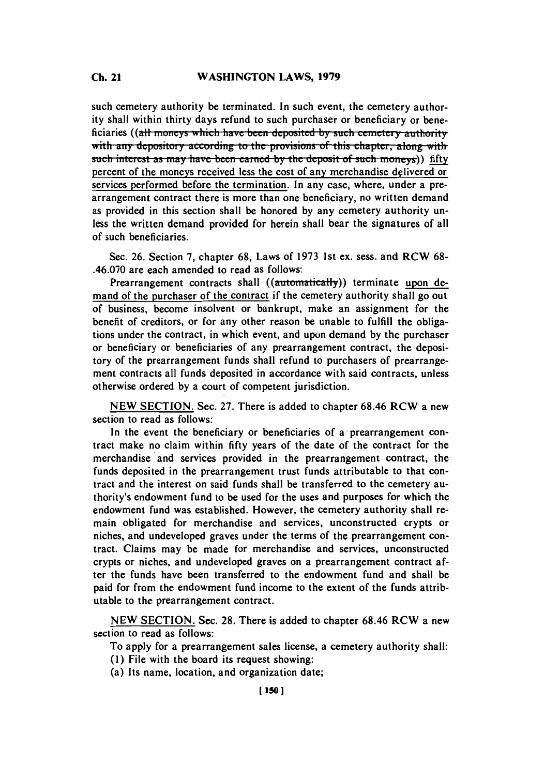## **C. 21WASHINGTON LAWS, 1979 Ch.** 21

such cemetery authority be terminated. In such event, the cemetery authority shall within thirty days refund to such purchaser or beneficiary or beneficiaries ((all moneys which have been deposited by such cemetery authority with any depository according to the provisions of this chapter, along with **such interest as may have been earned by the deposit of such moneys)** fifty percent of the moneys received less the cost of any merchandise delivered or services performed before the termination. In any case, where, under a prearrangement contract there is more than one beneficiary, no written demand as provided in this section shall be honored **by** any cemetery authority unless the written demand provided for herein shall bear the signatures of all of such beneficiaries.

Sec. **26.** Section **7,** chapter **68,** Laws of **1973** 1st ex. sess. and **RCW 68-** .46.070 are each amended to read as follows:

Prearrangement contracts shall ((automatically)) terminate upon demand of the purchaser of the contract if the cemetery authority shall go out of business, become insolvent or bankrupt, make an assignment for the benefit of creditors, or for any other reason be unable to fulfill the obligations under the contract, in which event, and upon demand **by** the purchaser or beneficiary or beneficiaries of any prearrangement contract, the depository of the prearrangement funds shall refund to purchasers of prearrangement contracts all funds deposited in accordance with said contracts, unless otherwise ordered **by** a court of competent jurisdiction.

**NEW SECTION.** Sec. **27.** There is added to chapter **68.46** RCW a new section to read as follows:

In the event the beneficiary or beneficiaries of a prearrangement contract make no claim within **fifty** years of the date of the contract for the merchandise and services provided in the prearrangement contract, the funds deposited in the prearrangement trust funds attributable to that contract and the interest on said funds shall be transferred to the cemetery authority's endowment fund to be used for the uses and purposes for which the endowment fund was established. However, the cemetery authority shall remain obligated for merchandise and services, unconstructed crypts or niches, and undeveloped graves under the terms of the prearrangement contract. Claims may be made for merchandise and services, unconstructed crypts or niches, and undeveloped graves on a prearrangement contract after the funds have been transferred to the endowment fund and shall be paid for from the endowment fund income to the extent of the funds attributable to the prearrangement contract.

**NEW SECTION.** Sec. **28.** There is added to chapter **68.46** RCW a new section to read as follows:

To apply for a prearrangement sales license, a cemetery authority shall:

- **(1)** File with the board its request showing:
- (a) Its name, location, and organization date;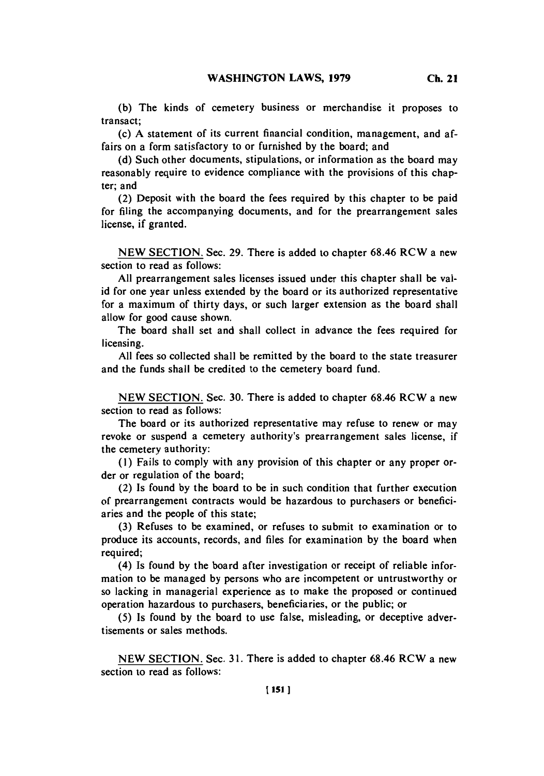(c) **A** statement of its current financial condition, management, and affairs on a form satisfactory to or furnished **by** the board; and

**(d)** Such other documents, stipulations, or information as the board may reasonably require to evidence compliance with the provisions of this chapter; and

(2) Deposit with the board the fees required **by** this chapter to be paid for filing the accompanying documents, and for the prearrangement sales license, if granted.

**NEW SECTION.** Sec. **29.** There is added to chapter **68.46** RCW a new section to read as follows:

**All** prearrangement sales licenses issued under this chapter shall be valid for one year unless extended **by** the board or its authorized representative for a maximum of thirty days, or such larger extension as the board shall allow for good cause shown.

The board shall set and shall collect in advance the fees required for licensing.

**All** fees so collected shall be remitted **by** the board to the state treasurer and the funds shall be credited to the cemetery board fund.

**NEW SECTION.** Sec. **30.** There is added to chapter **68.46** RCW a new section to read as follows:

The board or its authorized representative may refuse to renew or may revoke or suspend a cemetery authority's prearrangement sales license, if the cemetery authority:

**(1)** Fails to comply with any provision of this chapter or any proper order or regulation of the board;

(2) Is found **by** the board to be in such condition that further execution of prearrangement contracts would be hazardous to purchasers or beneficiaries and the people of this state;

**(3)** Refuses to be examined, or refuses to submit to examination or to produce its accounts, records, and files for examination **by** the board when required;

(4) Is found **by** the board after investigation or receipt of reliable information to be managed **by** persons who are incompetent or untrustworthy or so lacking in managerial experience as to make the proposed or continued operation hazardous to purchasers, beneficiaries, or the public; or

**(5)** Is found **by** the board to use false, misleading, or deceptive advertisements or sales methods.

**NEW** SECTION. Sec. **3 1.** There is added to chapter **68.46** RCW a new section to read as follows: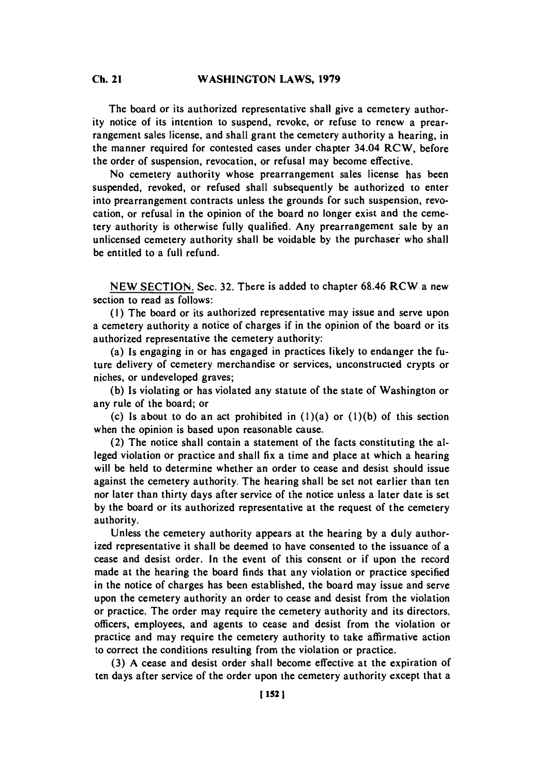## **C. 21WASHINGTON LAWS, 1979 Ch.** 21

The board or its authorized representative shall give a cemetery authority notice of its intention to suspend, revoke, or refuse to renew a prearrangement sales license, and shall grant the cemetery authority a hearing, in the manner required for contested cases under chapter 34.04 RCW, before the order of suspension, revocation, or refusal may become effective.

No cemetery authority whose prearrangement sales license has been suspended, revoked, or refused shall subsequently be authorized to enter into prearrangement contracts unless the grounds for such suspension, revocation, or refusal in the opinion of the board no longer exist and the cemetery authority is otherwise fully qualified. Any prearrangement sale **by** an unlicensed cemetery authority shall be voidable **by** the purchaser who shall be entitled to a full refund.

**NEW SECTION.** Sec. **32.** There is added to chapter **68.46** RCW a new section to read as follows:

**(1)** The board or its authorized representative may issue and serve upon a cemetery authority a notice of charges if in the opinion of the board or its authorized representative the cemetery authority:

(a) Is engaging in or has engaged in practices likely to endanger the future delivery of cemetery merchandise or services, unconstructed crypts or niches, or undeveloped graves;

**(b)** Is violating or has violated any statute of the state of Washington or any rule of the board; or

(c) Is about to do an act prohibited in (1)(a) or **(1)(b)** of this section when the opinion is based upon reasonable cause.

(2) The notice shall contain a statement of the facts constituting the alleged violation or practice and shall fix a time and place at which a hearing will be held to determine whether an order to cease and desist should issue against the cemetery authority. The hearing shall be set not earlier than ten nor later than thirty days after service of the notice unless a later date is set **by** the board or its authorized representative at the request of the cemetery authority.

Unless the cemetery authority appears at the hearing **by** a duly authorized representative it shall be deemed to have consented to the issuance of a cease and desist order. In the event of this consent or if upon the record made at the hearing the board finds that any violation or practice specified in the notice of charges has been established, the board may issue and serve upon the cemetery authority an order to cease and desist from the violation or practice. The order may require the cemetery authority and its directors, officers, employees, and agents to cease and desist from the violation or practice and may require the cemetery authority to take affirmative action to correct the conditions resulting from the violation or practice.

**(3) A** cease and desist order shall become effective at the expiration of ten days after service of the order upon the cemetery authority except that a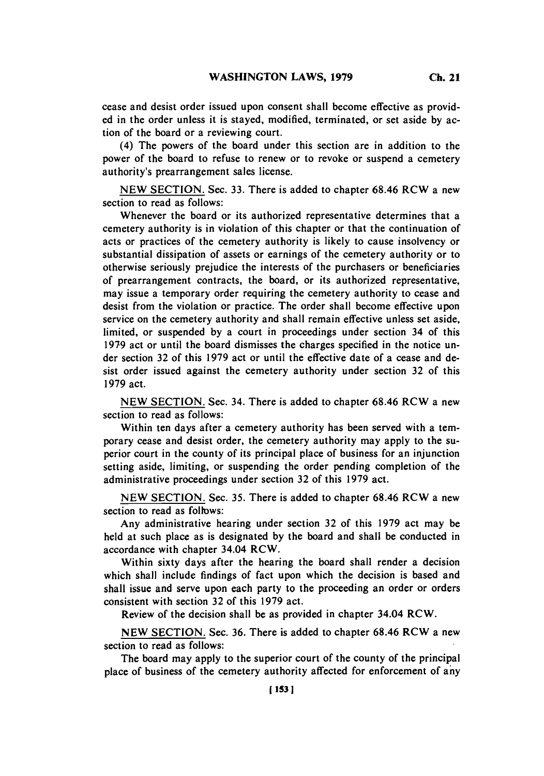cease and desist order issued upon consent shall become effective as provided in the order unless it is stayed, modified, terminated, or set aside **by** action of the board or a reviewing court.

(4) The powers of the board under this section are in addition to the power of the board to refuse to renew or to revoke or suspend a cemetery authority's prearrangement sales license.

**NEW SECTION.** Sec. **33.** There is added to chapter **68.46** RCW a new section to read as follows:

Whenever the board or its authorized representative determines that a cemetery authority is in violation of this chapter or that the continuation of acts or practices of the cemetery authority is likely to cause insolvency or substantial dissipation of assets or earnings of the cemetery authority or to otherwise seriously prejudice the interests of the purchasers or beneficiaries of prearrangement contracts, the board, or its authorized representative, may issue a temporary order requiring the cemetery authority to cease and desist from the violation or practice. The order shall become effective upon service on the cemetery authority and shall remain effective unless set aside, limited, or suspended **by** a court in proceedings under section 34 of this **1979** act or until the board dismisses the charges specified in the notice under section **32** of this **1979** act or until the effective date of a cease and desist order issued against the cemetery authority under section **32** of this **1979** act.

**NEW SECTION.** Sec. 34. There is added to chapter **68.46** RCW a new section to read as follows:

Within ten days after a cemetery authority has been served with a temporary cease and desist order, the cemetery authority may apply to the superior court in the county of its principal place of business for an injunction setting aside, limiting, or suspending the order pending completion of the administrative proceedings under section **32** of this **1979** act.

**NEW SECTION.** Sec. **35.** There is added to chapter **68.46** RCW a new section to read as follows:

Any administrative hearing under section **32** of this **1979** act may be held at such place as is designated **by** the board and shall be conducted in accordance with chapter 34.04 RCW.

Within sixty days after the hearing the board shall render a decision which shall include findings of fact upon which the decision is based and shall issue and serve upon each party to the proceeding an order or orders consistent with section **32** of this **1979** act.

Review of the decision shall be as provided in chapter 34.04 RCW.

**NEW SECTION.** Sec. **36.** There is added to chapter **68.46** RCW a new section to read as follows:

The board may apply to the superior court of the county of the principal place of business of the cemetery authority affected for enforcement of any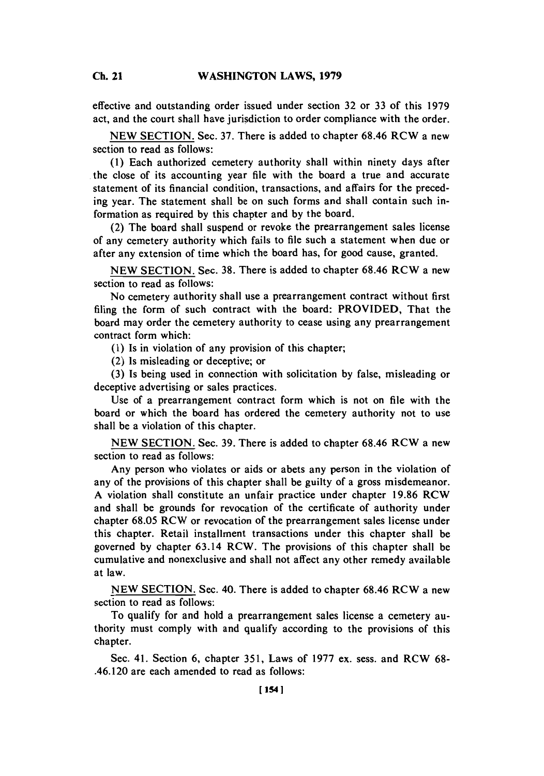**Ch.** 21

effective and outstanding order issued under section **32** or **33** of this **1979** act, and the court shall have jurisdiction to order compliance with the order.

**NEW SECTION.** Sec. **37.** There is added to chapter **68.46** RCW a new section to read as follows:

**(1)** Each authorized cemetery authority shall within ninety days after the close of its accounting year file with the board a true and accurate statement of its financial condition, transactions, and affairs for the preceding year. The statement shall be on such forms and shall contain such information as required **by** this chapter and **by** the board.

(2) The board shall suspend or revoke the prearrangement sales license **of** any cemetery authority which fails to file such a statement when due or after any extension of time which the board has, for good cause, granted.

**NEW SECTION.** Sec. **38.** There is added to chapter **68.46** RCW a new section to read as follows:

No cemetery authority shall use a prearrangement contract without first filing the form of such contract with the board: PROVIDED, That the board may order the cemetery authority to cease using any prearrangement contract form which:

**(1)** Is in violation of any provision of this chapter;

(2) Is misleading or deceptive; or

**(3)** Is being used in connection with solicitation **by** false, misleading or deceptive advertising or sales practices.

Use of a prearrangement contract form which is not on file with the board or which the board has ordered the cemetery authority not to use shall be a violation of this chapter.

**NEW SECTION.** Sec. **39.** There is added to chapter **68.46** RCW a new section to read as follows:

Any person who violates or aids or abets any person in the violation of any of the provisions of this chapter shall be guilty of a gross misdemeanor. **A** violation shall constitute an unfair practice under chapter **19.86** RCW and shall be grounds for revocation of the certificate of authority under chapter **68.05** RCW or revocation of the prearrangement sales license under this chapter. Retail installment transactions under this chapter shall be governed **by** chapter 63.14 RCW. The provisions of this chapter shall be cumulative and nonexclusive and shall not affect any other remedy available at law.

**NEW SECTION.** Sec. 40. There is added to chapter **68.46** RCW a new section to read as follows:

To qualify for and hold a prearrangement sales license a cemetery authority must comply with and qualify according to the provisions of this chapter.

Sec. 41. Section **6,** chapter **351,** Laws of **1977** ex. sess. and RCW **68-** .46.120 are each amended to read as follows: